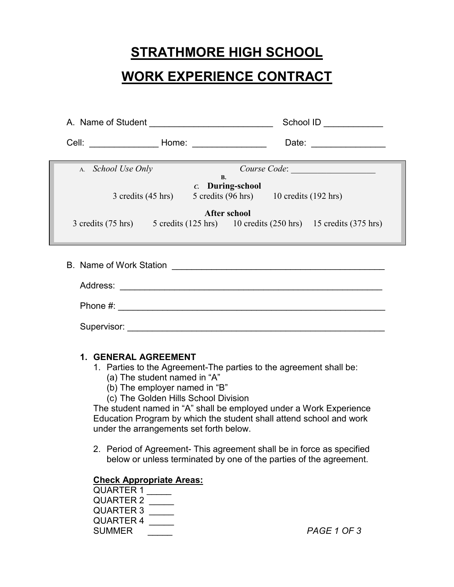# **STRATHMORE HIGH SCHOOL**

# **WORK EXPERIENCE CONTRACT**

|                                                                                            | School ID ____________                                                                                                                                                                                                                            |  |
|--------------------------------------------------------------------------------------------|---------------------------------------------------------------------------------------------------------------------------------------------------------------------------------------------------------------------------------------------------|--|
|                                                                                            | Date: __________________                                                                                                                                                                                                                          |  |
| A. School Use Only                                                                         | Course Code: <u>contract and the contract of the set of the contract of the set of the contract of the contract of the contract of the contract of the contract of the contract of the contract of the contract of the contract </u><br><b>B.</b> |  |
|                                                                                            | c. During-school<br>3 credits (45 hrs) 5 credits (96 hrs) 10 credits (192 hrs)                                                                                                                                                                    |  |
| After school                                                                               |                                                                                                                                                                                                                                                   |  |
|                                                                                            | 3 credits (75 hrs) 5 credits (125 hrs) 10 credits (250 hrs) 15 credits (375 hrs)                                                                                                                                                                  |  |
|                                                                                            |                                                                                                                                                                                                                                                   |  |
|                                                                                            |                                                                                                                                                                                                                                                   |  |
|                                                                                            |                                                                                                                                                                                                                                                   |  |
|                                                                                            |                                                                                                                                                                                                                                                   |  |
|                                                                                            |                                                                                                                                                                                                                                                   |  |
| 1. GENERAL AGREEMENT<br>1. Parties to the Agreement-The parties to the agreement shall be: |                                                                                                                                                                                                                                                   |  |

- (a) The student named in "A"
- (b) The employer named in "B"
- (c) The Golden Hills School Division

The student named in "A" shall be employed under a Work Experience Education Program by which the student shall attend school and work under the arrangements set forth below.

2. Period of Agreement- This agreement shall be in force as specified below or unless terminated by one of the parties of the agreement.

#### **Check Appropriate Areas:**

| QUARTER 1        |  |
|------------------|--|
| QUARTER 2        |  |
| <b>QUARTER 3</b> |  |
| <b>QUARTER 4</b> |  |
| <b>SUMMER</b>    |  |
|                  |  |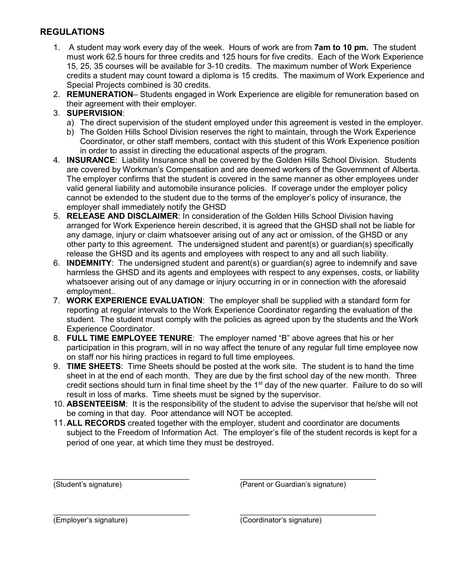## **REGULATIONS**

- 1. A student may work every day of the week. Hours of work are from **7am to 10 pm.** The student must work 62.5 hours for three credits and 125 hours for five credits. Each of the Work Experience 15, 25, 35 courses will be available for 3-10 credits. The maximum number of Work Experience credits a student may count toward a diploma is 15 credits. The maximum of Work Experience and Special Projects combined is 30 credits.
- 2. **REMUNERATION** Students engaged in Work Experience are eligible for remuneration based on their agreement with their employer.

#### 3. **SUPERVISION**:

- a) The direct supervision of the student employed under this agreement is vested in the employer.
- b) The Golden Hills School Division reserves the right to maintain, through the Work Experience Coordinator, or other staff members, contact with this student of this Work Experience position in order to assist in directing the educational aspects of the program.
- 4. **INSURANCE**: Liability Insurance shall be covered by the Golden Hills School Division. Students are covered by Workman's Compensation and are deemed workers of the Government of Alberta. The employer confirms that the student is covered in the same manner as other employees under valid general liability and automobile insurance policies. If coverage under the employer policy cannot be extended to the student due to the terms of the employer's policy of insurance, the employer shall immediately notify the GHSD
- 5. **RELEASE AND DISCLAIMER**: In consideration of the Golden Hills School Division having arranged for Work Experience herein described, it is agreed that the GHSD shall not be liable for any damage, injury or claim whatsoever arising out of any act or omission, of the GHSD or any other party to this agreement. The undersigned student and parent(s) or guardian(s) specifically release the GHSD and its agents and employees with respect to any and all such liability.
- 6. **INDEMNITY**: The undersigned student and parent(s) or guardian(s) agree to indemnify and save harmless the GHSD and its agents and employees with respect to any expenses, costs, or liability whatsoever arising out of any damage or injury occurring in or in connection with the aforesaid employment..
- 7. **WORK EXPERIENCE EVALUATION**: The employer shall be supplied with a standard form for reporting at regular intervals to the Work Experience Coordinator regarding the evaluation of the student. The student must comply with the policies as agreed upon by the students and the Work Experience Coordinator.
- 8. **FULL TIME EMPLOYEE TENURE**: The employer named "B" above agrees that his or her participation in this program, will in no way affect the tenure of any regular full time employee now on staff nor his hiring practices in regard to full time employees.
- 9. **TIME SHEETS**: Time Sheets should be posted at the work site. The student is to hand the time sheet in at the end of each month. They are due by the first school day of the new month. Three credit sections should turn in final time sheet by the 1<sup>st</sup> day of the new quarter. Failure to do so will result in loss of marks. Time sheets must be signed by the supervisor.
- 10. **ABSENTEEISM**: It is the responsibility of the student to advise the supervisor that he/she will not be coming in that day. Poor attendance will NOT be accepted.
- 11.**ALL RECORDS** created together with the employer, student and coordinator are documents subject to the Freedom of Information Act. The employer's file of the student records is kept for a period of one year, at which time they must be destroyed.

\_\_\_\_\_\_\_\_\_\_\_\_\_\_\_\_\_\_\_\_\_\_\_\_\_\_\_\_\_\_\_\_\_ \_\_\_\_\_\_\_\_\_\_\_\_\_\_\_\_\_\_\_\_\_\_\_\_\_\_\_\_\_\_\_\_\_ (Student's signature) (Parent or Guardian's signature)

\_\_\_\_\_\_\_\_\_\_\_\_\_\_\_\_\_\_\_\_\_\_\_\_\_\_\_\_\_\_\_\_\_ \_\_\_\_\_\_\_\_\_\_\_\_\_\_\_\_\_\_\_\_\_\_\_\_\_\_\_\_\_\_\_\_\_

(Employer's signature) (Coordinator's signature)